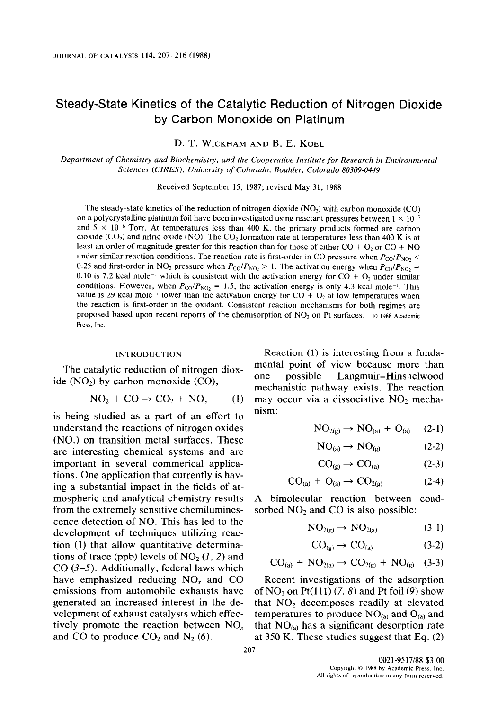# Steady-State Kinetics of the Catalytic Reduction of Nitrogen Dioxide by Carbon Monoxide on Platinum

D. T. WICKHAM **AND** B. E. KOEL

*Department of Chemistry and Biochemistry, and the Cooperative Institute for Research in Environmental Sciences (CIRES), University of Colorado, Boulder, Colorado 80309-0449* 

Received September 15, 1987; revised May 31, 1988

The steady-state kinetics of the reduction of nitrogen dioxide  $(NO<sub>2</sub>)$  with carbon monoxide  $(CO)$ on a polycrystalline platinum foil have been investigated using reactant pressures between  $1 \times 10^{-7}$ and  $5 \times 10^{-6}$  Torr. At temperatures less than 400 K, the primary products formed are carbon dioxide (CO<sub>2</sub>) and nitric oxide (NO). The CO<sub>2</sub> formation rate at temperatures less than 400 K is at least an order of magnitude greater for this reaction than for those of either  $CO + O_2$  or  $CO + NO$ under similar reaction conditions. The reaction rate is first-order in CO pressure when  $P_{\text{CO}}/P_{\text{NO}_2}$  < 0.25 and first-order in NO<sub>2</sub> pressure when  $P_{\text{CO}}/P_{\text{NO}_2} > 1$ . The activation energy when  $P_{\text{CO}}/P_{\text{NO}_2} =$ 0.10 is 7.2 kcal mole<sup>-1</sup> which is consistent with the activation energy for CO +  $O<sub>2</sub>$  under similar conditions. However, when  $P_{\text{CO}}/P_{\text{NO}_2} = 1.5$ , the activation energy is only 4.3 kcal mole<sup>-1</sup>. This value is 29 kcal mole<sup>-1</sup> lower than the activation energy for  $CO + O<sub>2</sub>$  at low temperatures when the reaction is first-order in the oxidant. Consistent reaction mechanisms for both regimes are proposed based upon recent reports of the chemisorption of  $NO<sub>2</sub>$  on Pt surfaces.  $\circ$  1988 Academic Press, Inc.

#### INTRODUCTION

The catalytic reduction of nitrogen dioxide  $(NO<sub>2</sub>)$  by carbon monoxide  $(CO)$ ,

$$
NO2 + CO \rightarrow CO2 + NO, (1)
$$

is being studied as a part of an effort to understand the reactions of nitrogen oxides  $(NO<sub>x</sub>)$  on transition metal surfaces. These are interesting chemical systems and are important in several commerical applications. One application that currently is having a substantial impact in the fields of atmospheric and analytical chemistry results from the extremely sensitive chemiluminescence detection of NO. This has led to the development of techniques utilizing rcaction (1) that allow quantitative determinations of trace (ppb) levels of  $NO<sub>2</sub>(1, 2)$  and  $CO$  (3–5). Additionally, federal laws which have emphasized reducing  $NO<sub>r</sub>$  and CO emissions from automobile exhausts have generated an increased interest in the development of exhaust catalysts which effectively promote the reaction between  $NO<sub>x</sub>$ and CO to produce  $CO_2$  and  $N_2$  (6).

Reaction (1) is interesting from a fundamental point of view because more than one possible Langmuir-Hinshelwood mechanistic pathway exists. The reaction may occur via a dissociative  $NO<sub>2</sub>$  mechanism:

$$
NO_{2(g)} \rightarrow NO_{(a)} + O_{(a)} \quad (2-1)
$$

$$
NO_{(a)} \rightarrow NO_{(g)} \tag{2-2}
$$

$$
CO_{(g)} \to CO_{(a)} \tag{2-3}
$$

$$
CO_{(a)} + O_{(a)} \rightarrow CO_{2(g)} \tag{2-4}
$$

A bimolecular reaction between coadsorbed  $NO<sub>2</sub>$  and  $CO$  is also possible:

$$
NO_{2(g)} \to NO_{2(a)} \tag{3-1}
$$

$$
CO_{(g)} \to CO_{(a)} \tag{3-2}
$$

$$
CO_{(a)} + NO_{2(a)} \rightarrow CO_{2(g)} + NO_{(g)} \quad (3-3)
$$

Recent investigations of the adsorption of NO<sub>2</sub> on Pt(111)  $(7, 8)$  and Pt foil  $(9)$  show that  $NO<sub>2</sub>$  decomposes readily at elevated temperatures to produce  $NO<sub>(a)</sub>$  and  $O<sub>(a)</sub>$  and that  $NO<sub>(a)</sub>$  has a significant desorption rate at 350 K. These studies suggest that Eq. (2)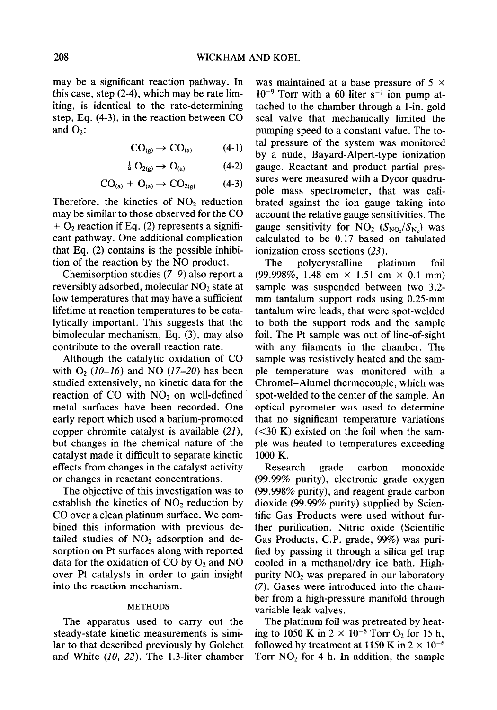may be a significant reaction pathway. In this case, step (2-4), which may be rate limiting, is identical to the rate-determining step, Eq. (4-3), in the reaction between CO and  $O_2$ :

$$
CO_{(g)} \to CO_{(a)} \tag{4-1}
$$

$$
\frac{1}{2} O_{2(g)} \to O_{(a)} \tag{4-2}
$$

$$
CO_{(a)} + O_{(a)} \rightarrow CO_{2(g)} \qquad (4-3)
$$

Therefore, the kinetics of  $NO<sub>2</sub>$  reduction may be similar to those observed for the CO  $+ O<sub>2</sub>$  reaction if Eq. (2) represents a significant pathway. One additional complication that Eq. (2) contains is the possible inhibition of the reaction by the NO product.

Chemisorption studies (7-9) also report a reversibly adsorbed, molecular NO<sub>2</sub> state at low temperatures that may have a sufficient lifetime at reaction temperatures to be catalytically important. This suggests that the bimolecular mechanism, Eq. (3), may also contribute to the overall reaction rate.

Although the catalytic oxidation of CO with  $O_2$  (10-16) and NO (17-20) has been studied extensively, no kinetic data for the reaction of CO with  $NO<sub>2</sub>$  on well-defined metal surfaces have been recorded. One early report which used a barium-promoted copper chromite catalyst is available (21), but changes in the chemical nature of the catalyst made it difficult to separate kinetic effects from changes in the catalyst activity or changes in reactant concentrations.

The objective of this investigation was to establish the kinetics of  $NO<sub>2</sub>$  reduction by CO over a clean platinum surface. We combined this information with previous detailed studies of  $NO<sub>2</sub>$  adsorption and desorption on Pt surfaces along with reported data for the oxidation of CO by  $O_2$  and NO over Pt catalysts in order to gain insight into the reaction mechanism.

## **METHODS**

The apparatus used to carry out the steady-state kinetic measurements is similar to that described previously by Golchet and White (10, 22). The 1.3-liter chamber was maintained at a base pressure of  $5 \times$  $10^{-9}$  Torr with a 60 liter s<sup>-1</sup> ion pump attached to the chamber through a l-in. gold seal valve that mechanically limited the pumping speed to a constant value. The total pressure of the system was monitored by a nude, Bayard-Alpert-type ionization gauge. Reactant and product partial pressures were measured with a Dycor quadrupole mass spectrometer, that was calibrated against the ion gauge taking into account the relative gauge sensitivities. The gauge sensitivity for  $NO_2$  ( $S_{NO_2}/S_{N_2}$ ) was calculated to be 0.17 based on tabulated ionization cross sections (23).

The polycrystalline platinum foil (99.998%, 1.48 cm **x** 1.51 cm **x** 0.1 mm) sample was suspended between two 3.2 mm tantalum support rods using 0.25-mm tantalum wire leads, that were spot-welded to both the support rods and the sample foil. The Pt sample was out of line-of-sight with any filaments in the chamber. The sample was resistively heated and the sample temperature was monitored with a Chromel-Alumel thermocouple, which was spot-welded to the center of the sample. An optical pyrometer was used to determine that no significant temperature variations  $(<$ 30 K) existed on the foil when the sample was heated to temperatures exceeding 1000 K.

Research grade carbon monoxide (99.99% purity), electronic grade oxygen (99.998% purity), and reagent grade carbon dioxide (99.99% purity) supplied by Scientific Gas Products were used without further purification. Nitric oxide (Scientific Gas Products, C.P. grade, 99%) was purified by passing it through a silica gel trap cooled in a methanol/dry ice bath. Highpurity  $NO<sub>2</sub>$  was prepared in our laboratory (7). Gases were introduced into the chamber from a high-pressure manifold through variable leak valves.

The platinum foil was pretreated by heating to 1050 K in  $2 \times 10^{-6}$  Torr O<sub>2</sub> for 15 h, followed by treatment at 1150 K in  $2 \times 10^{-6}$ Torr  $NO<sub>2</sub>$  for 4 h. In addition, the sample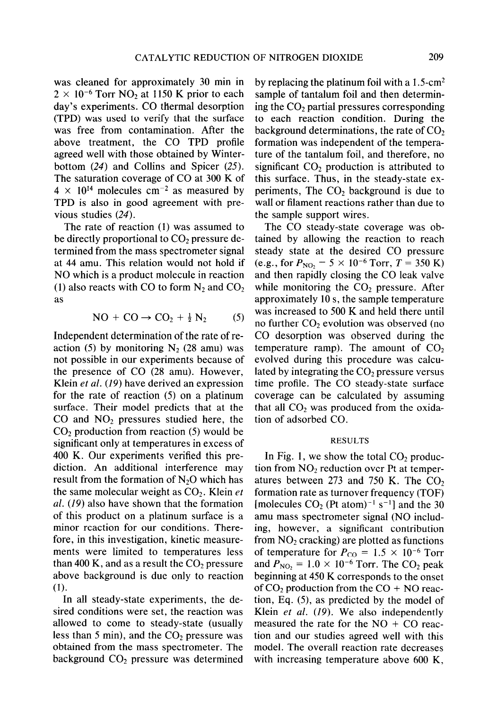was cleaned for approximately 30 min in  $2 \times 10^{-6}$  Torr NO<sub>2</sub> at 1150 K prior to each day's experiments. CO thermal desorption (TPD) was used to verify that the surface was free from contamination. After the above treatment, the CO TPD profile agreed well with those obtained by Winterbottom (24) and Collins and Spicer (25). The saturation coverage of CO at 300 K of  $4 \times 10^{14}$  molecules cm<sup>-2</sup> as measured by TPD is also in good agreement with previous studies (24).

The rate of reaction (1) was assumed to be directly proportional to  $CO<sub>2</sub>$  pressure determined from the mass spectrometer signal at 44 amu. This relation would not hold if NO which is a product molecule in reaction (1) also reacts with CO to form  $N_2$  and  $CO_2$ as

$$
NO + CO \rightarrow CO_2 + \frac{1}{2} N_2 \tag{5}
$$

Independent determination of the rate of reaction (5) by monitoring  $N_2$  (28 amu) was not possible in our experiments because of the presence of CO (28 amu). However, Klein *et al.* (19) have derived an expression for the rate of reaction (5) on a platinum surface. Their model predicts that at the CO and  $NO<sub>2</sub>$  pressures studied here, the  $CO<sub>2</sub>$  production from reaction (5) would be significant only at temperatures in excess of 400 K. Our experiments verified this prediction. An additional interference may result from the formation of  $N_2O$  which has the same molecular weight as  $CO<sub>2</sub>$ . Klein *et al.* (19) also have shown that the formation of this product on a platinum surface is a minor reaction for our conditions. Therefore, in this investigation, kinetic measurements were limited to temperatures less than 400 K, and as a result the  $CO<sub>2</sub>$  pressure above background is due only to reaction (1).

In all steady-state experiments, the desired conditions were set, the reaction was allowed to come to steady-state (usually less than 5 min), and the  $CO<sub>2</sub>$  pressure was obtained from the mass spectrometer. The background  $CO<sub>2</sub>$  pressure was determined by replacing the platinum foil with a  $1.5\text{-cm}^2$ sample of tantalum foil and then determining the  $CO<sub>2</sub>$  partial pressures corresponding to each reaction condition. During the background determinations, the rate of  $CO<sub>2</sub>$ formation was independent of the temperature of the tantalum foil, and therefore, no significant  $CO<sub>2</sub>$  production is attributed to this surface. Thus, in the steady-state experiments, The  $CO<sub>2</sub>$  background is due to wall or filament reactions rather than due to the sample support wires.

The CO steady-state coverage was obtained by allowing the reaction to reach steady state at the desired CO pressure (e.g., for  $P_{NO_2} = 5 \times 10^{-6}$  Torr,  $T = 350$  K) and then rapidly closing the CO leak valve while monitoring the  $CO<sub>2</sub>$  pressure. After approximately 10 s, the sample temperature was increased to 500 K and held there until no further  $CO<sub>2</sub>$  evolution was observed (no CO desorption was observed during the temperature ramp). The amount of  $CO<sub>2</sub>$ evolved during this procedure was calculated by integrating the  $CO<sub>2</sub>$  pressure versus time profile. The CO steady-state surface coverage can be calculated by assuming that all  $CO<sub>2</sub>$  was produced from the oxidation of adsorbed CO.

#### **RESULTS**

In Fig. 1, we show the total  $CO<sub>2</sub>$  production from  $NO<sub>2</sub>$  reduction over Pt at temperatures between  $273$  and  $750$  K. The CO<sub>2</sub> formation rate as turnover frequency (TOF) [molecules  $CO<sub>2</sub>$  (Pt atom)<sup>-1</sup> s<sup>-1</sup>] and the 30 amu mass spectrometer signal (NO including, however, a significant contribution from  $NO<sub>2</sub>$  cracking) are plotted as functions of temperature for  $P_{CO} = 1.5 \times 10^{-6}$  Torr and  $P_{\text{NO}_2}$  = 1.0  $\times$  10<sup>-6</sup> Torr. The CO<sub>2</sub> peak beginning at 450 K corresponds to the onset of  $CO<sub>2</sub>$  production from the  $CO + NO$  reaction, Eq. (5), as predicted by the model of Klein *et al.* (19). We also independently measured the rate for the  $NO + CO$  reaction and our studies agreed well with this model. The overall reaction rate decreases with increasing temperature above 600 K,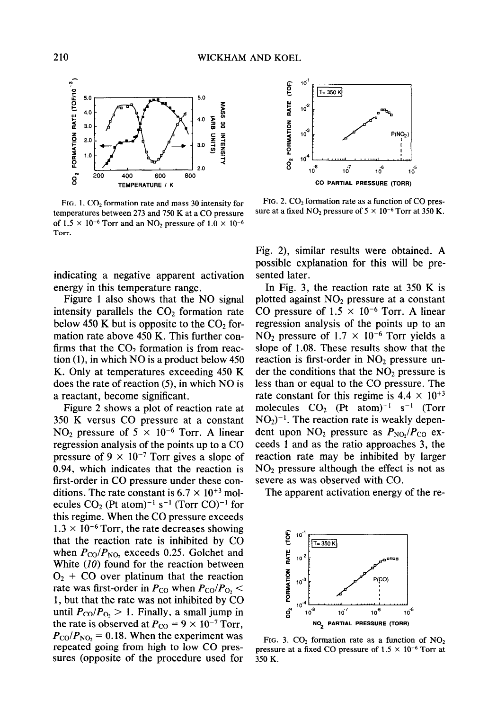

FIG. 1.  $CO<sub>2</sub>$  formation rate and mass 30 intensity for temperatures between 273 and 750 K at a CO pressure of  $1.5 \times 10^{-6}$  Torr and an NO<sub>2</sub> pressure of  $1.0 \times 10^{-6}$ Torr.

indicating a negative apparent activation energy in this temperature range.

Figure 1 also shows that the NO signal intensity parallels the  $CO<sub>2</sub>$  formation rate below 450 K but is opposite to the  $CO<sub>2</sub>$  formation rate above 450 K. This further confirms that the  $CO<sub>2</sub>$  formation is from reaction (l), in which NO is a product below 450 K. Only at temperatures exceeding 450 K does the rate of reaction (5), in which NO is a reactant, become significant.

Figure 2 shows a plot of reaction rate at 350 K versus CO pressure at a constant NO<sub>2</sub> pressure of  $5 \times 10^{-6}$  Torr. A linear regression analysis of the points up to a CO pressure of  $9 \times 10^{-7}$  Torr gives a slope of 0.94, which indicates that the reaction is first-order in CO pressure under these conditions. The rate constant is  $6.7 \times 10^{+3}$  molecules  $CO<sub>2</sub>$  (Pt atom)<sup>-1</sup> s<sup>-1</sup> (Torr CO)<sup>-1</sup> for this regime. When the CO pressure exceeds  $1.3 \times 10^{-6}$  Torr, the rate decreases showing that the reaction rate is inhibited by CO when  $P_{\text{CO}}/P_{\text{NO}}$ , exceeds 0.25. Golchet and White (10) found for the reaction between  $O_2$  + CO over platinum that the reaction rate was first-order in  $P_{\text{CO}}$  when  $P_{\text{CO}}/P_{\text{O}}$ , < 1, but that the rate was not inhibited by CO until  $P_{\text{CO}}/P_{\text{O}_2} > 1$ . Finally, a small jump in the rate is observed at  $P_{\text{CO}} = 9 \times 10^{-7}$  Torr,  $P_{\rm CO}/P_{\rm NO}$  = 0.18. When the experiment was repeated going from high to low CO pressures (opposite of the procedure used for



FIG. 2.  $CO<sub>2</sub>$  formation rate as a function of CO pressure at a fixed NO<sub>2</sub> pressure of  $5 \times 10^{-6}$  Torr at 350 K.

Fig. 2), similar results were obtained. A possible explanation for this will be presented later.

In Fig. 3, the reaction rate at 350 K is plotted against  $NO<sub>2</sub>$  pressure at a constant CO pressure of  $1.5 \times 10^{-6}$  Torr. A linear regression analysis of the points up to an  $NO<sub>2</sub>$  pressure of 1.7  $\times$  10<sup>-6</sup> Torr yields a slope of 1.08. These results show that the reaction is first-order in  $NO<sub>2</sub>$  pressure under the conditions that the  $NO<sub>2</sub>$  pressure is less than or equal to the CO pressure. The rate constant for this regime is  $4.4 \times 10^{+3}$ molecules  $CO<sub>2</sub>$  (Pt atom)<sup>-1</sup> s<sup>-1</sup> (Torr  $NO<sub>2</sub>$ <sup>-1</sup>. The reaction rate is weakly dependent upon  $NO_2$  pressure as  $P_{NO}$ ,  $P_{CO}$  exceeds 1 and as the ratio approaches 3, the reaction rate may be inhibited by larger  $NO<sub>2</sub>$  pressure although the effect is not as severe as was observed with CO.

The apparent activation energy of the re-



FIG. 3.  $CO<sub>2</sub>$  formation rate as a function of NO<sub>2</sub> pressure at a fixed CO pressure of  $1.5 \times 10^{-6}$  Torr at 350 K.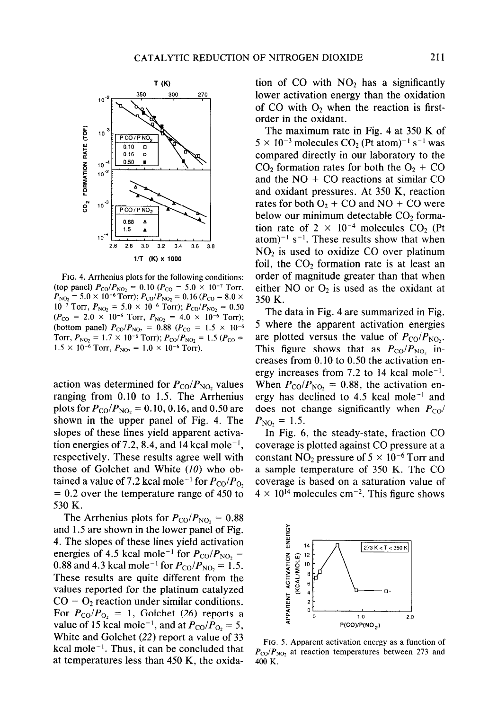

FIG. 4. Arrhenius plots for the following conditions: (top panel)  $P_{\text{CO}}/P_{\text{NO}_2} = 0.10$  ( $P_{\text{CO}} = 5.0 \times 10^{-7}$  Torr,  $P_{\text{NO}_2}$  = 5.0 × 10<sup>-6</sup> Torr);  $P_{\text{CO}}/P_{\text{NO}_2}$  = 0.16 ( $P_{\text{CO}}$  = 8.0 ×  $10^{-7}$  Torr,  $P_{\text{NO}_2} = 5.0 \times 10^{-6}$  Torr);  $P_{\text{CO}}/P_{\text{NO}_2} = 0.50$  $(P_{\rm CO} = 2.0 \times 10^{-6} \text{ Torr}, P_{\rm NO_2} = 4.0 \times 10^{-6} \text{ Torr});$ (bottom panel)  $P_{\text{CO}}/P_{\text{NO}_2} = 0.88$  ( $P_{\text{CO}} = 1.5 \times 10^{-6}$ Torr,  $P_{NQ_2} = 1.7 \times 10^{-6}$  Torr);  $P_{C0}/P_{NQ_2} = 1.5$   $(P_{C0} =$  $1.5 \times 10^{-6}$  Torr,  $P_{NO_2} = 1.0 \times 10^{-6}$  Torr).

action was determined for  $P_{\text{CO}}/P_{\text{NO}_2}$  values ranging from 0.10 to 1.5. The Arrhenius plots for  $P_{\text{CO}}/P_{\text{NO}_2} = 0.10, 0.16,$  and 0.50 are shown in the upper panel of Fig. 4. The slopes of these lines yield apparent activation energies of 7.2, 8.4, and 14 kcal mole<sup>-1</sup>, respectively. These results agree well with those of Golchet and White  $(10)$  who obtained a value of 7.2 kcal mole<sup>-1</sup> for  $P_{\text{CO}}/P_{\text{O}_2}$ *= 0.2* over the temperature range of 450 to 530 K.

The Arrhenius plots for  $P_{\text{CO}}/P_{\text{NO}_2} = 0.88$ and 1.5 are shown in the lower panel of Fig. 4. The slopes of these lines yield activation energies of 4.5 kcal mole<sup>-1</sup> for  $P_{\text{CO}}/P_{\text{NO}_2}$  = 0.88 and 4.3 kcal mole<sup>-1</sup> for  $P_{\text{CO}}/P_{\text{NO}_2} = 1.5$ . These results are quite different from the values reported for the platinum catalyzed  $CO + O<sub>2</sub>$  reaction under similar conditions. For  $P_{\text{CO}}/P_{\text{O}_2} = 1$ , Golchet (26) reports a value of 15 kcal mole<sup>-1</sup>, and at  $P_{\text{CO}}/P_{\text{O}_2} = 5$ , White and Golchet (22) report a value of 33 kcal mole<sup> $-1$ </sup>. Thus, it can be concluded that at temperatures less than 450 K, the oxidation of CO with  $NO<sub>2</sub>$  has a significantly lower activation energy than the oxidation of CO with  $O_2$  when the reaction is firstorder in the oxidant.

The maximum rate in Fig. 4 at 350 K of  $5 \times 10^{-3}$  molecules  $CO<sub>2</sub>$  (Pt atom)<sup>-1</sup> s<sup>-1</sup> was compared directly in our laboratory to the  $CO<sub>2</sub>$  formation rates for both the  $O<sub>2</sub> + CO$ and the  $NO + CO$  reactions at similar  $CO$ and oxidant pressures. At 350 K, reaction rates for both  $O_2$  + CO and NO + CO were below our minimum detectable  $CO<sub>2</sub>$  formation rate of  $2 \times 10^{-4}$  molecules CO<sub>2</sub> (Pt) atom)<sup>-1</sup> s<sup>-1</sup>. These results show that when  $NO<sub>2</sub>$  is used to oxidize CO over platinum foil, the  $CO<sub>2</sub>$  formation rate is at least an order of magnitude greater than that when either NO or  $O_2$  is used as the oxidant at 350 K.

The data in Fig. 4 are summarized in Fig. 5 where the apparent activation energies are plotted versus the value of  $P_{\rm CO}/P_{\rm NO}$ . This figure shows that as  $P_{\rm CO}/P_{\rm NO}$ , increases from 0.10 to 0.50 the activation energy increases from 7.2 to 14 kcal mole<sup>-1</sup>. When  $P_{\text{CO}}/P_{\text{NO}_2} = 0.88$ , the activation energy has declined to 4.5 kcal mole-' and does not change significantly when  $P_{CO}$ /  $P_{\rm NO_2} = 1.5$ .

In Fig. 6, the steady-state, fraction CO coverage is plotted against CO pressure at a constant  $NO<sub>2</sub>$  pressure of  $5 \times 10^{-6}$  Torr and a sample temperature of 350 K. The CO coverage is based on a saturation value of  $4 \times 10^{14}$  molecules cm<sup>-2</sup>. This figure shows



FIG. *5.* Apparent activation energy as a function of  $P_{\rm CO}/P_{\rm NO}$ , at reaction temperatures between 273 and 400 K.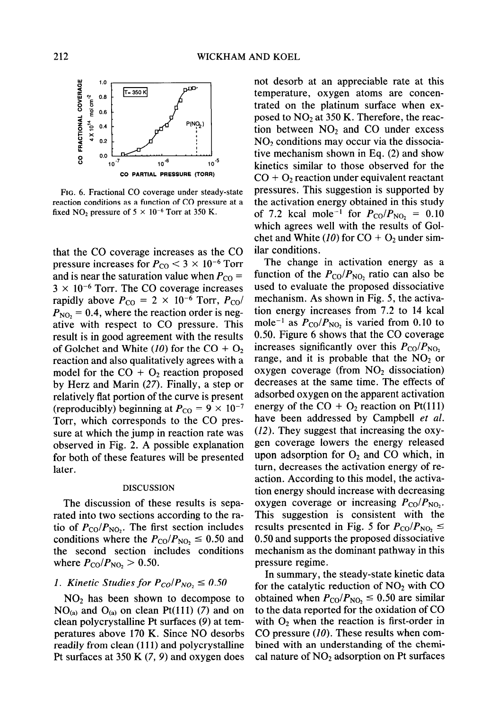

**FIG.** 6. Fractional CO coverage under steady-state reaction conditions as a function of CO pressure at a fixed NO<sub>2</sub> pressure of  $5 \times 10^{-6}$  Torr at 350 K.

that the CO coverage increases as the CO pressure increases for  $P_{\text{CO}}$   $<$  3  $\times$  10<sup>-6</sup> Torr and is near the saturation value when  $P_{CO} =$  $3 \times 10^{-6}$  Torr. The CO coverage increases rapidly above  $P_{\text{CO}} = 2 \times 10^{-6}$  Torr,  $P_{\text{CO}}/$  $P_{\text{NO}_2}$  = 0.4, where the reaction order is negative with respect to CO pressure. This result is in good agreement with the results of Golchet and White (10) for the  $CO + O<sub>2</sub>$ reaction and also qualitatively agrees with a model for the  $CO + O<sub>2</sub>$  reaction proposed by Herz and Marin (27). Finally, a step or relatively flat portion of the curve is present (reproducibly) beginning at  $P_{\text{CO}} = 9 \times 10^{-7}$ Torr, which corresponds to the CO pressure at which the jump in reaction rate was observed in Fig. 2. A possible explanation for both of these features will be presented later.

### DISCUSSION

The discussion of these results is separated into two sections according to the ratio of  $P_{\text{CO}}/P_{\text{NO}_2}$ . The first section includes conditions where the  $P_{\rm CO}/P_{\rm NO} \leq 0.50$  and the second section includes conditions where  $P_{\rm CO}/P_{\rm NO_2} > 0.50$ .

### *1. Kinetic Studies for*  $P_{CO}/P_{NO_2} \leq 0.50$

*NO2* has been shown to decompose to  $NO<sub>(a)</sub>$  and  $O<sub>(a)</sub>$  on clean Pt(111) (7) and on clean polycrystalline Pt surfaces (9) at temperatures above 170 K. Since NO desorbs readily from clean (111) and polycrystalline Pt surfaces at 350 K (7, 9) and oxygen does

not desorb at an appreciable rate at this temperature, oxygen atoms are concentrated on the platinum surface when exposed to  $NO<sub>2</sub>$  at 350 K. Therefore, the reaction between  $NO<sub>2</sub>$  and  $CO$  under excess  $NO<sub>2</sub>$  conditions may occur via the dissociative mechanism shown in Eq. (2) and show kinetics similar to those observed for the  $CO + O<sub>2</sub>$  reaction under equivalent reactant pressures. This suggestion is supported by the activation energy obtained in this study of 7.2 kcal mole<sup>-1</sup> for  $P_{\text{CO}}/P_{\text{NO}_2} = 0.10$ which agrees well with the results of Golchet and White (10) for  $CO + O<sub>2</sub>$  under similar conditions.

The change in activation energy as a function of the  $P_{\text{CO}}/P_{\text{NO}}$ , ratio can also be used to evaluate the proposed dissociative mechanism. As shown in Fig. 5, the activation energy increases from 7.2 to 14 kcal mole<sup>-1</sup> as  $P_{\text{CO}}/P_{\text{NO}}$ , is varied from 0.10 to 0.50. Figure 6 shows that the CO coverage increases significantly over this  $P_{\rm CO}/P_{\rm NO_2}$ range, and it is probable that the  $NO<sub>2</sub>$  or oxygen coverage (from  $NO<sub>2</sub>$  dissociation) decreases at the same time. The effects of adsorbed oxygen on the apparent activation energy of the  $CO + O<sub>2</sub>$  reaction on Pt(111) have been addressed by Campbell *et al.*  (12). They suggest that increasing the oxygen coverage lowers the energy released upon adsorption for  $O_2$  and CO which, in turn, decreases the activation energy of reaction. According to this model, the activation energy should increase with decreasing oxygen coverage or increasing  $P_{\rm CO}/P_{\rm NO}$ . This suggestion is consistent with the results presented in Fig. 5 for  $P_{\text{CO}}/P_{\text{NO}_2} \leq$ *0.50* and supports the proposed dissociative mechanism as the dominant pathway in this pressure regime.

In summary, the steady-state kinetic data for the catalytic reduction of  $NO<sub>2</sub>$  with CO obtained when  $P_{\text{CO}}/P_{\text{NO}} \leq 0.50$  are similar to the data reported for the oxidation of CO with  $O_2$  when the reaction is first-order in CO pressure (10). These results when combined with an understanding of the chemical nature of  $NO<sub>2</sub>$  adsorption on Pt surfaces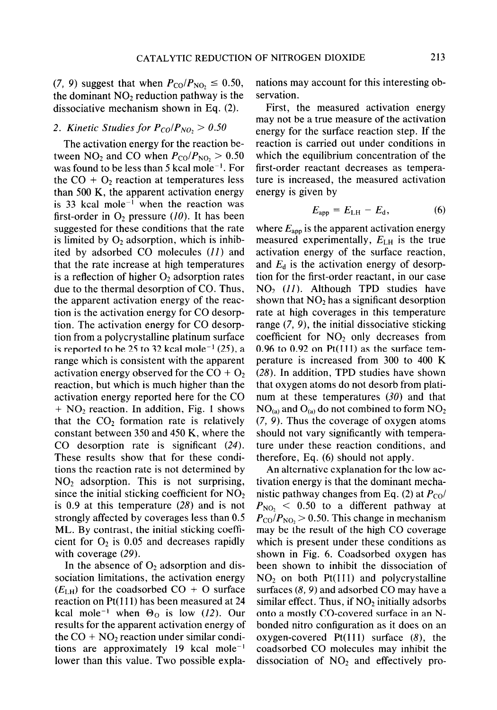(7, 9) suggest that when  $P_{\rm CO}/P_{\rm NO_2} \leq 0.50$ , the dominant  $NO<sub>2</sub>$  reduction pathway is the dissociative mechanism shown in Eq. (2).

## 2. *Kinetic Studies for*  $P_{CO}/P_{NO_2} > 0.50$

The activation energy for the reaction between  $NO_2$  and CO when  $P_{CO}/P_{NO_2} > 0.50$ was found to be less than 5 kcal mole<sup>-1</sup>. For the  $CO + O<sub>2</sub>$  reaction at temperatures less than 500 K, the apparent activation energy is 33 kcal mole<sup> $-1$ </sup> when the reaction was first-order in  $O_2$  pressure (10). It has been suggested for these conditions that the rate is limited by  $O_2$  adsorption, which is inhibited by adsorbed CO molecules (II) and that the rate increase at high temperatures is a reflection of higher  $O_2$  adsorption rates due to the thermal desorption of CO. Thus, the apparent activation energy of the reaction is the activation energy for CO desorption. The activation energy for CO desorption from a polycrystalline platinum surface is reported to be 25 to 32 kcal mole<sup>-1</sup> (25), a range which is consistent with the apparent activation energy observed for the  $CO + O<sub>2</sub>$ reaction, but which is much higher than the activation energy reported here for the CO  $+ NO<sub>2</sub>$  reaction. In addition, Fig. 1 shows that the  $CO<sub>2</sub>$  formation rate is relatively constant between 350 and 450 K, where the CO desorption rate is significant (24). These results show that for these conditions the reaction rate is not determined by  $NO<sub>2</sub>$  adsorption. This is not surprising, since the initial sticking coefficient for  $NO<sub>2</sub>$ is 0.9 at this temperature (28) and is not strongly affected by coverages less than 0.5 ML. By contrast, the initial sticking coefficient for  $O_2$  is 0.05 and decreases rapidly with coverage (29).

In the absence of  $O_2$  adsorption and dissociation limitations, the activation energy  $(E<sub>LH</sub>)$  for the coadsorbed CO + O surface reaction on Pt( 111) has been measured at 24 kcal mole<sup>-1</sup> when  $\Theta_0$  is low (12). Our results for the apparent activation energy of the  $CO + NO<sub>2</sub>$  reaction under similar conditions are approximately 19 kcal mole<sup>-1</sup> lower than this value. Two possible explanations may account for this interesting observation.

First, the measured activation energy may not be a true measure of the activation energy for the surface reaction step. If the reaction is carried out under conditions in which the equilibrium concentration of the first-order reactant decreases as temperature is increased, the measured activation energy is given by

$$
E_{\rm app} = E_{\rm LH} - E_{\rm d}, \tag{6}
$$

where  $E_{\text{app}}$  is the apparent activation energy measured experimentally, *ELH* is the true activation energy of the surface reaction, and  $E_d$  is the activation energy of desorption for the first-order reactant, in our case  $NO<sub>2</sub>$  (11). Although TPD studies have shown that  $NO<sub>2</sub>$  has a significant desorption rate at high coverages in this temperature range (7, 9), the initial dissociative sticking coefficient for  $NO<sub>2</sub>$  only decreases from 0.96 to 0.92 on  $Pt(111)$  as the surface temperature is increased from 300 to 400 K (28). In addition, TPD studies have shown that oxygen atoms do not desorb from platinum at these temperatures  $(30)$  and that  $NO<sub>(a)</sub>$  and  $O<sub>(a)</sub>$  do not combined to form  $NO<sub>2</sub>$ (7, 9). Thus the coverage of oxygen atoms should not vary significantly with temperature under these reaction conditions, and therefore, Eq. (6) should not apply.

An alternative explanation for the low activation energy is that the dominant mechanistic pathway changes from Eq. (2) at  $P_{CO}$ /  $P_{\text{NO}_2}$  < 0.50 to a different pathway at  $P_{\rm CO}/P_{\rm NO_2}$  > 0.50. This change in mechanism may be the result of the high CO coverage which is present under these conditions as shown in Fig. 6. Coadsorbed oxygen has been shown to inhibit the dissociation of  $NO<sub>2</sub>$  on both Pt(111) and polycrystalline surfaces  $(8, 9)$  and adsorbed CO may have a similar effect. Thus, if  $NO<sub>2</sub>$  initially adsorbs onto a mostly CO-covered surface in an Nbonded nitro configuration as it does on an oxygen-covered  $Pt(111)$  surface  $(8)$ , the coadsorbed CO molecules may inhibit the dissociation of  $NO<sub>2</sub>$  and effectively pro-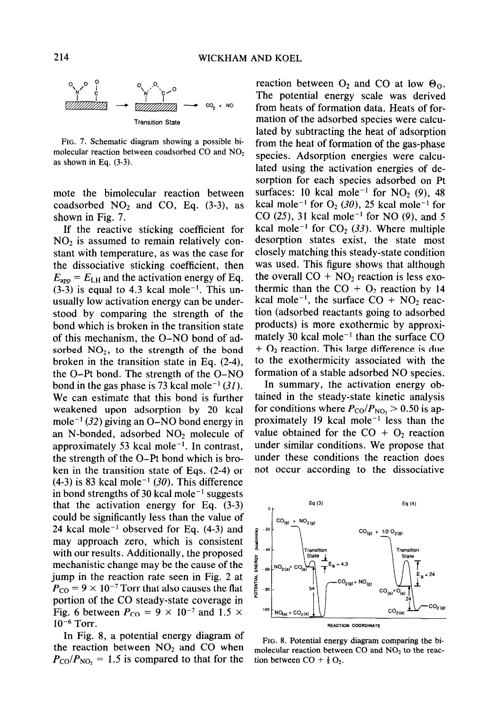

FIG. 7. Schematic diagram showing a possible bimolecular reaction between coadsorbed CO and NO<sub>2</sub> as shown in Eq. (3-3).

mote the bimolecular reaction between coadsorbed  $NO<sub>2</sub>$  and CO, Eq. (3-3), as shown in Fig. 7.

If the reactive sticking coefficient for  $NO<sub>2</sub>$  is assumed to remain relatively constant with temperature, as was the case for the dissociative sticking coefficient, then  $E_{\text{app}} = E_{\text{LH}}$  and the activation energy of Eq.  $(3-3)$  is equal to 4.3 kcal mole<sup>-1</sup>. This unusually low activation energy can be understood by comparing the strength of the bond which is broken in the transition state of this mechanism, the O-NO bond of adsorbed  $NO<sub>2</sub>$ , to the strength of the bond broken in the transition state in Eq. (2-4), the 0-Pt bond. The strength of the O-NO bond in the gas phase is 73 kcal mole<sup>-1</sup> (31). We can estimate that this bond is further weakened upon adsorption by 20 kcal mole<sup>-1</sup> (32) giving an O-NO bond energy in an N-bonded, adsorbed  $NO<sub>2</sub>$  molecule of approximately 53 kcal mole<sup> $-1$ </sup>. In contrast, the strength of the 0-Pt bond which is broken in the transition state of Eqs. (2-4) or  $(4-3)$  is 83 kcal mole<sup>-1</sup> (30). This difference in bond strengths of 30 kcal mole<sup> $-1$ </sup> suggests that the activation energy for Eq. (3-3) could be significantly less than the value of 24 kcal mole<sup> $-1$ </sup> observed for Eq. (4-3) and may approach zero, which is consistent with our results. Additionally, the proposed mechanistic change may be the cause of the jump in the reaction rate seen in Fig. 2 at  $P_{\text{CO}} = 9 \times 10^{-7}$  Torr that also causes the flat portion of the CO steady-state coverage in Fig. 6 between  $P_{\text{CO}} = 9 \times 10^{-7}$  and 1.5  $\times$ *1O-6* Torr.

In Fig. 8, a potential energy diagram of the reaction between  $NO<sub>2</sub>$  and CO when  $P_{\rm CO}/P_{\rm NO_2} = 1.5$  is compared to that for the

reaction between  $O_2$  and CO at low  $\Theta_0$ . The potential energy scale was derived from heats of formation data. Heats of formation of the adsorbed species were calculated by subtracting the heat of adsorption from the heat of formation of the gas-phase species. Adsorption energies were calculated using the activation energies of desorption for each species adsorbed on Pt surfaces: 10 kcal mole<sup>-1</sup> for NO<sub>2</sub> (9), 48 kcal mole<sup>-1</sup> for  $O_2$  (30), 25 kcal mole<sup>-1</sup> for CO (25), 31 kcal mole<sup>-1</sup> for NO (9), and 5 kcal mole<sup>-1</sup> for  $CO<sub>2</sub>$  (33). Where multiple desorption states exist, the state most closely matching this steady-state condition was used. This figure shows that although the overall  $CO + NO<sub>2</sub>$  reaction is less exothermic than the  $CO + O_2$  reaction by 14 kcal mole<sup>-1</sup>, the surface  $CO + NO<sub>2</sub>$  reaction (adsorbed reactants going to adsorbed products) is more exothermic by approximately 30 kcal mole<sup> $-1$ </sup> than the surface CO  $+ O<sub>2</sub>$  reaction. This large difference is due to the exothermicity associated with the formation of a stable adsorbed NO species.

In summary, the activation energy obtained in the steady-state kinetic analysis for conditions where  $P_{\text{CO}}/P_{\text{NO}_2} > 0.50$  is approximately 19 kcal mole<sup> $-1$ </sup> less than the value obtained for the  $CO + O<sub>2</sub>$  reaction under similar conditions. We propose that under these conditions the reaction does not occur according to the dissociative



FIG. 8. Potential energy diagram comparing the bimolecular reaction between  $CO$  and  $NO<sub>2</sub>$  to the reaction between  $CO + \frac{1}{2}O_2$ .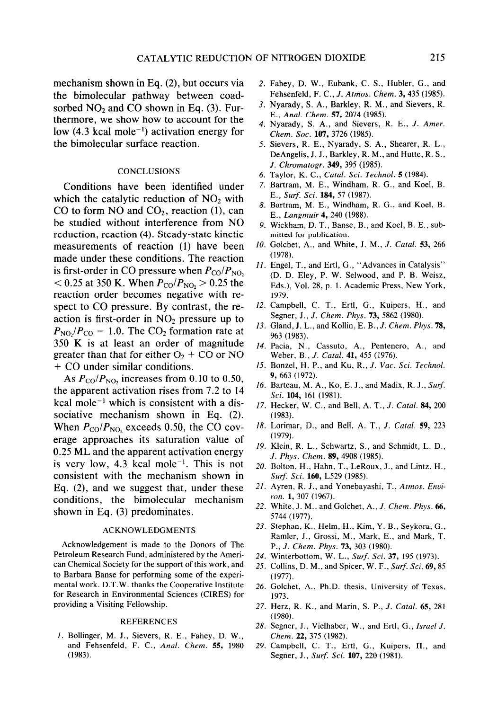mechanism shown in Eq. (2), but occurs via the bimolecular pathway between coadsorbed  $NO<sub>2</sub>$  and CO shown in Eq. (3). Furthermore, we show how to account for the low (4.3 kcal mole<sup>-1</sup>) activation energy for the bimolecular surface reaction.

## **CONCLUSIONS**

Conditions have been identified under which the catalytic reduction of  $NO<sub>2</sub>$  with CO to form NO and  $CO<sub>2</sub>$ , reaction (1), can be studied without interference from NO reduction, reaction (4). Steady-state kinetic measurements of reaction (1) have been made under these conditions. The reaction is first-order in CO pressure when  $P_{\rm CO}/P_{\rm NO_2}$  $< 0.25$  at 350 K. When  $P_{\rm CO}/P_{\rm NO}$ ,  $> 0.25$  the reaction order becomes negative with respect to CO pressure. By contrast, the reaction is first-order in  $NO<sub>2</sub>$  pressure up to  $P_{\text{NO}}/P_{\text{CO}} = 1.0$ . The CO<sub>2</sub> formation rate at 350 K is at least an order of magnitude greater than that for either  $O_2$  + CO or NO + CO under similar conditions.

As  $P_{\text{CO}}/P_{\text{NO}_2}$  increases from 0.10 to 0.50, the apparent activation rises from 7.2 to 14 kcal mole<sup> $-1$ </sup> which is consistent with a dissociative mechanism shown in Eq. (2). When  $P_{\text{CO}}/P_{\text{NO}_2}$  exceeds 0.50, the CO coverage approaches its saturation value of 0.25 ML and the apparent activation energy is very low, 4.3 kcal mole<sup> $-1$ </sup>. This is not consistent with the mechanism shown in Eq. (2), and we suggest that, under these conditions, the bimolecular mechanism shown in Eq. (3) predominates.

#### ACKNOWLEDGMENTS

Acknowledgement is made to the Donors of The Petroleum Research Fund, administered by the American Chemical Society for the support of this work, and to Barbara Banse for performing some of the experimental work. D.T.W. thanks the Cooperative Institute for Research in Environmental Sciences (CIRES) for providing a Visiting Fellowship.

#### REFERENCES

I. Bollinger, M. J., Sievers, R. E., Fahey, D. W., and Fehsenfeld, F. C., *Anal. Chem. 55,* 1980 (1983).

- Fahey, D. W., Eubank, C. S., Hubler, G., and Fehsenfeld, F. C., J. *Afmos. Chem.* 3,435 (1985).
- 3. Nyarady, S. A., Barkley, R. M., and Sievers, R. E., *Anal. Chem.* 57, 2074 (1985).
- Nyarady, S. A., and Sievers, R. E., *J. Amer. Chem. Sot.* 107, 3726 (1985).
- Sievers, R. E., Nyarady, S. A., Shearer, R. L., DeAngelis, J. J., Barkley, R. M., and Hutte, R. S., *J. Chromatogr. 349, 395 (1985).*
- 6. Taylor, K. C., *Catal. Sci. Technol. 5* (1984).
- 7. Bartram, M. E., Windham, R. G., and Koel, B. E., Surf. *Sci.* 184, 57 (1987).
- 8. Bartram, M. E., Windham, R. G., and Koel, B. E., *Lungmuir 4, 240 (1988).*
- 9. Wickham, D. T., Banse, B., and Koel, B. E., submitted for publication.
- *10.*  Golchet, A., and White, J. M., *J. Catal. 53, 266 (1978).*
- Il. Engel, T., and Ertl, G., "Advances in Catalysis" (D. D. Eley, P. W. Selwood, and P. B. Weisz, Eds.), Vol. 28, p. 1. Academic Press, New York, 1979.
- 12. Campbell, C. T., Ertl, G., Kuipers, H., and Segner, J., J. *Chem. Phys. 73, 5862 (1980).*
- 13. Gland, J. L., and Kollin, E. B., *J. Chem. Phys.* **78,** *963 (1983).*
- 14. Pacia, N., Cassuto, A., Pentenero, A., and Weber, B., *J. Catal.* 41, 455 (1976).
- 15. Bonzel, H. P., and Ku, R., *J. Vat. Sci. Technol.*  9, 663 (1972).
- 16. Barteau, M. A., Ko, E. J., and Madix, R. J., *Surf. Sci.* 104, 161 (1981).
- 17. Hecker, W. C., and Bell, A. T., J. *Catal. 84, 200 (1983).*
- *18.*  Lorimar, D., and Bell, A. T., *J. Catal. 59, 223 (1979).*
- 19. Klein, R. L., Schwartz, S., and Schmidt, L. D., *J. Phys. Chem. 89,4908 (1985).*
- 20. Bolton, H., Hahn, T., LeRoux, J., and Lintz, H., *Surf Sci.* 160, L529 (1985).
- 21. Ayren, R. J., and Yonebayashi, T., *Atmos. Enuiron.* 1, 307 (1967).
- 22. White, J. M., and Golchet, A., *J. Chem. Phys. 66, 5744 (1977).*
- 23. Stephan, K., Helm, H., Kim, Y. B., Seykora, G., Ramler, J., Grossi, M., Mark, E., and Mark, T. P., J. Chem. *Phys.* 73, 303 (1980).
- 24. Winterbottom, W. L., *Surf. Sci.* 37, 195 (1973).
- 25. Collins, D. M., and Spicer, W. F., *Surf. Sci.* 69, 85 *(1977).*
- 26. Golchet, A., Ph.D. thesis, University of Texas, 1973.
- 27. Herz, R. K., and Marin, S. P., *J. Cud. 65, 281 (1980).*
- 28. Segner, J., Vielhaber, W., and Ertl, G., *Israel J.*  Chem. 22, 375 (1982).
- 29. Campbell, C. T., Ertl, G., Kuipers, H., and Segner, J., *Surf. Sci.* 107, 220 (1981).